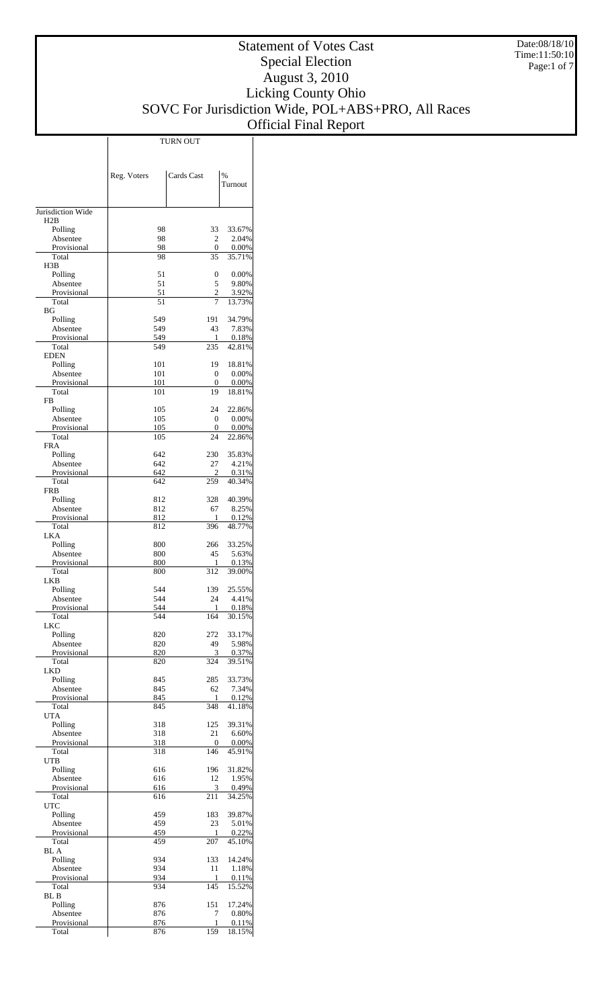|                         |             | <b>TURN OUT</b> |                 |
|-------------------------|-------------|-----------------|-----------------|
|                         |             |                 |                 |
|                         |             |                 |                 |
|                         | Reg. Voters | Cards Cast      | %               |
|                         |             |                 | Turnout         |
|                         |             |                 |                 |
| Jurisdiction Wide       |             |                 |                 |
| H2B                     |             |                 |                 |
| Polling                 | 98          | 33              | 33.67%          |
| Absentee<br>Provisional | 98<br>98    | 2<br>0          | 2.04%<br>0.00%  |
| Total                   | 98          | 35              | 35.71%          |
| H3B                     |             |                 |                 |
| Polling<br>Absentee     | 51<br>51    | 0<br>5          | 0.00%<br>9.80%  |
| Provisional             | 51          | $\overline{c}$  | 3.92%           |
| Total                   | 51          | 7               | 13.73%          |
| BG<br>Polling           | 549         | 191             | 34.79%          |
| Absentee                | 549         | 43              | 7.83%           |
| Provisional             | 549         | 1               | 0.18%           |
| Total                   | 549         | 235             | 42.81%          |
| <b>EDEN</b><br>Polling  | 101         | 19              | 18.81%          |
| Absentee                | 101         | $\mathbf{0}$    | $0.00\%$        |
| Provisional             | 101         | $\mathbf{0}$    | 0.00%           |
| Total                   | 101         | 19              | 18.81%          |
| <b>FB</b><br>Polling    | 105         | 24              | 22.86%          |
| Absentee                | 105         | $\mathbf{0}$    | $0.00\%$        |
| Provisional             | 105         | 0               | 0.00%           |
| Total<br><b>FRA</b>     | 105         | 24              | 22.86%          |
| Polling                 | 642         | 230             | 35.83%          |
| Absentee                | 642         | 27              | 4.21%           |
| Provisional             | 642         | 2               | 0.31%           |
| Total<br><b>FRB</b>     | 642         | 259             | 40.34%          |
| Polling                 | 812         | 328             | 40.39%          |
| Absentee                | 812         | 67              | 8.25%           |
| Provisional             | 812         | 1               | 0.12%           |
| Total<br>LKA            | 812         | 396             | 48.77%          |
| Polling                 | 800         | 266             | 33.25%          |
| Absentee                | 800         | 45              | 5.63%           |
| Provisional<br>Total    | 800<br>800  | 1<br>312        | 0.13%<br>39.00% |
| LKB.                    |             |                 |                 |
| Polling                 | 544         | 139             | 25.55%          |
| Absentee                | 544         | 24              | 4.41%           |
| Provisional<br>Total    | 544<br>544  | 1<br>164        | 0.18%<br>30.15% |
| <b>LKC</b>              |             |                 |                 |
| Polling                 | 820         | 272             | 33.17%          |
| Absentee                | 820<br>820  | 49<br>3         | 5.98%           |
| Provisional<br>Total    | 820         | 324             | 0.37%<br>39.51% |
| <b>LKD</b>              |             |                 |                 |
| Polling                 | 845         | 285             | 33.73%          |
| Absentee<br>Provisional | 845<br>845  | 62<br>1         | 7.34%<br>0.12%  |
| Total                   | 845         | 348             | 41.18%          |
| UTA                     |             |                 |                 |
| Polling<br>Absentee     | 318<br>318  | 125<br>21       | 39.31%<br>6.60% |
| Provisional             | 318         | $\mathbf{0}$    | 0.00%           |
| Total                   | 318         | 146             | 45.91%          |
| <b>UTB</b>              |             |                 |                 |
| Polling<br>Absentee     | 616<br>616  | 196<br>12       | 31.82%<br>1.95% |
| Provisional             | 616         | 3               | 0.49%           |
| Total                   | 616         | 211             | 34.25%          |
| <b>UTC</b>              |             |                 |                 |
| Polling<br>Absentee     | 459<br>459  | 183<br>23       | 39.87%<br>5.01% |
| Provisional             | 459         | 1               | 0.22%           |
| Total                   | 459         | 207             | 45.10%          |
| <b>BL</b> A<br>Polling  | 934         | 133             | 14.24%          |
| Absentee                | 934         | 11              | 1.18%           |
| Provisional             | 934         | 1               | 0.11%           |
| Total                   | 934         | 145             | 15.52%          |
| BL B<br>Polling         | 876         | 151             | 17.24%          |
| Absentee                | 876         | 7               | 0.80%           |
| Provisional             | 876         | 1               | 0.11%           |
| Total                   | 876         | 159             | 18.15%          |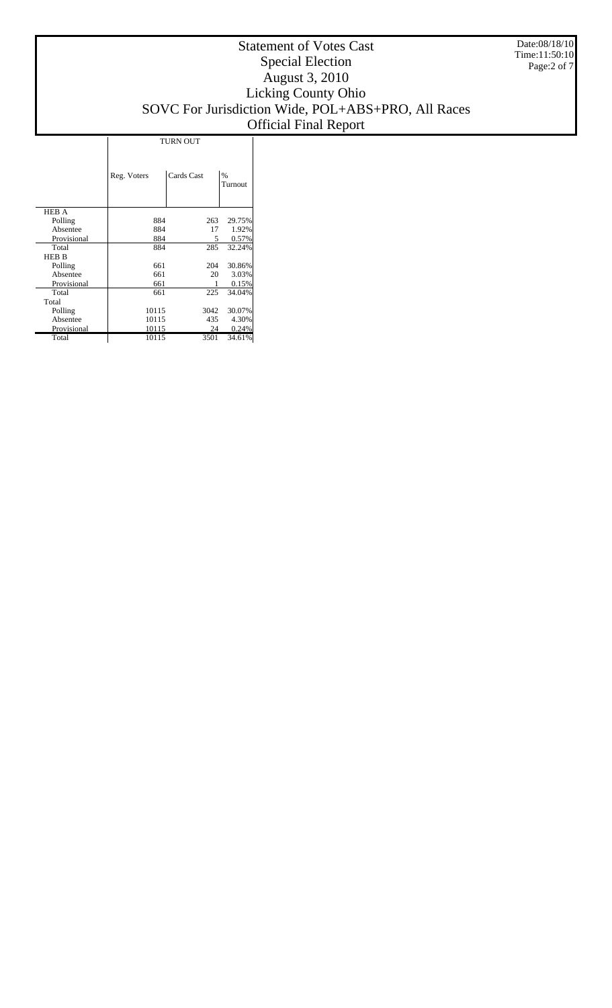|              | <b>TURN OUT</b>           |      |                 |  |  |  |  |
|--------------|---------------------------|------|-----------------|--|--|--|--|
|              | Cards Cast<br>Reg. Voters |      | $\%$<br>Turnout |  |  |  |  |
| <b>HEB A</b> |                           |      |                 |  |  |  |  |
| Polling      | 884                       | 263  | 29.75%          |  |  |  |  |
| Absentee     | 884                       | 17   | 1.92%           |  |  |  |  |
| Provisional  | 884                       | 5    | 0.57%           |  |  |  |  |
| Total        | 884                       | 285  | 32.24%          |  |  |  |  |
| <b>HEB B</b> |                           |      |                 |  |  |  |  |
| Polling      | 661                       | 204  | 30.86%          |  |  |  |  |
| Absentee     | 661                       | 20   | 3.03%           |  |  |  |  |
| Provisional  | 661                       |      | 0.15%           |  |  |  |  |
| Total        | 661                       | 225  | 34.04%          |  |  |  |  |
| Total        |                           |      |                 |  |  |  |  |
| Polling      | 10115                     | 3042 | 30.07%          |  |  |  |  |
| Absentee     | 10115                     | 435  | 4.30%           |  |  |  |  |
| Provisional  | 10115                     | 24   | 0.24%           |  |  |  |  |
| Total        | 10115                     | 3501 | 34.61%          |  |  |  |  |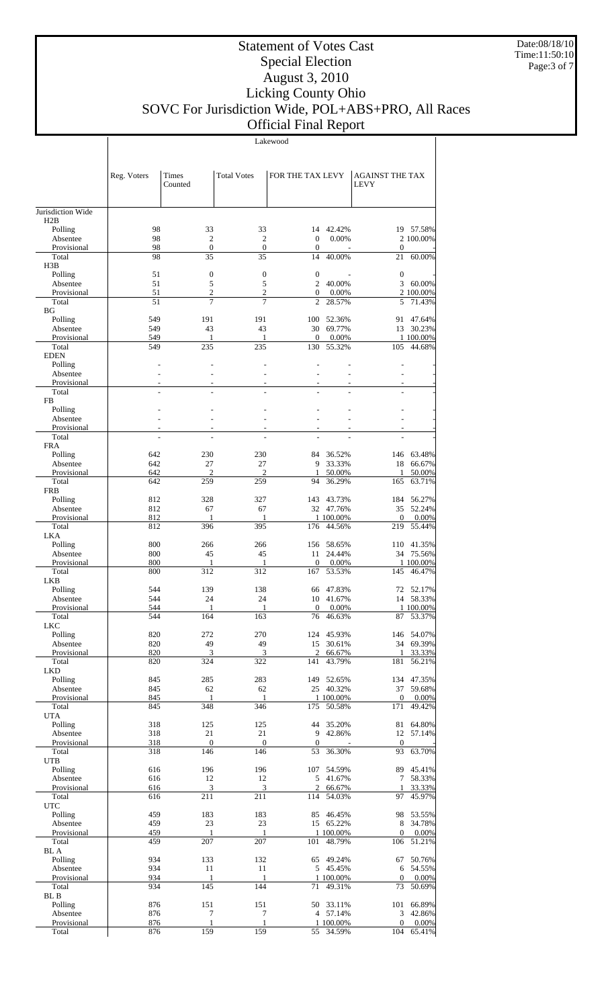Lakewood

Page:3 of 7

Date:08/18/10 Time:11:50:10

|                         | Reg. Voters              | Times<br>Counted       | <b>Total Votes</b>       | FOR THE TAX LEVY                 |                      | <b>AGAINST THE TAX</b><br><b>LEVY</b> |                      |
|-------------------------|--------------------------|------------------------|--------------------------|----------------------------------|----------------------|---------------------------------------|----------------------|
| Jurisdiction Wide       |                          |                        |                          |                                  |                      |                                       |                      |
| H2B                     |                          |                        |                          |                                  |                      |                                       |                      |
| Polling                 | 98                       | 33                     | 33                       |                                  | 14 42.42%            |                                       | 19 57.58%            |
| Absentee                | 98                       | 2                      | $\mathfrak{2}$           | $\boldsymbol{0}$                 | 0.00%                |                                       | 2 100.00%            |
| Provisional<br>Total    | 98<br>98                 | $\boldsymbol{0}$<br>35 | $\mathbf{0}$<br>35       | $\boldsymbol{0}$<br>14           | 40.00%               | $\boldsymbol{0}$<br>21                | 60.00%               |
| H3B                     |                          |                        |                          |                                  |                      |                                       |                      |
| Polling                 | 51                       | $\boldsymbol{0}$       | $\boldsymbol{0}$         | $\boldsymbol{0}$                 |                      | $\mathbf{0}$                          |                      |
| Absentee                | 51                       | 5                      | 5                        | $\overline{c}$                   | 40.00%               | 3                                     | 60.00%               |
| Provisional<br>Total    | 51<br>51                 | $\boldsymbol{2}$<br>7  | $\mathfrak{2}$<br>7      | $\overline{0}$<br>$\overline{2}$ | 0.00%<br>28.57%      | 5                                     | 2 100.00%<br>71.43%  |
| <b>BG</b>               |                          |                        |                          |                                  |                      |                                       |                      |
| Polling                 | 549                      | 191                    | 191                      | 100                              | 52.36%               | 91                                    | 47.64%               |
| Absentee                | 549                      | 43<br>1                | 43<br>1                  | 30<br>$\overline{0}$             | 69.77%               | 13                                    | 30.23%<br>1 100.00%  |
| Provisional<br>Total    | 549<br>549               | 235                    | 235                      | 130                              | 0.00%<br>55.32%      | 105                                   | 44.68%               |
| <b>EDEN</b>             |                          |                        |                          |                                  |                      |                                       |                      |
| Polling                 |                          |                        |                          |                                  |                      |                                       |                      |
| Absentee                |                          |                        |                          |                                  |                      |                                       |                      |
| Provisional<br>Total    | $\overline{\phantom{a}}$ | ٠                      | $\overline{\phantom{a}}$ |                                  | ٠                    |                                       |                      |
| FB                      |                          |                        |                          |                                  |                      |                                       |                      |
| Polling                 |                          |                        |                          |                                  |                      |                                       |                      |
| Absentee                | $\overline{a}$           | ÷,                     |                          |                                  |                      |                                       |                      |
| Provisional             |                          |                        |                          |                                  |                      |                                       |                      |
| Total<br><b>FRA</b>     |                          |                        |                          |                                  |                      |                                       |                      |
| Polling                 | 642                      | 230                    | 230                      | 84                               | 36.52%               | 146                                   | 63.48%               |
| Absentee                | 642                      | 27                     | 27                       | 9                                | 33.33%               | 18                                    | 66.67%               |
| Provisional             | 642                      | $\overline{c}$         | 2                        | 1                                | 50.00%               | 1                                     | 50.00%               |
| Total<br><b>FRB</b>     | 642                      | 259                    | 259                      | 94                               | 36.29%               | 165                                   | 63.71%               |
| Polling                 | 812                      | 328                    | 327                      | 143                              | 43.73%               | 184                                   | 56.27%               |
| Absentee                | 812                      | 67                     | 67                       |                                  | 32 47.76%            | 35                                    | 52.24%               |
| Provisional             | 812                      | 1                      | 1                        |                                  | 1 100.00%            | $\mathbf{0}$                          | 0.00%                |
| Total                   | 812                      | 396                    | 395                      | 176                              | 44.56%               | 219                                   | 55.44%               |
| <b>LKA</b><br>Polling   | 800                      | 266                    | 266                      | 156                              | 58.65%               | 110                                   | 41.35%               |
| Absentee                | 800                      | 45                     | 45                       | 11                               | 24.44%               | 34                                    | 75.56%               |
| Provisional             | 800                      | 1                      | 1                        | $\overline{0}$                   | 0.00%                |                                       | 1 100.00%            |
| Total                   | 800                      | 312                    | 312                      | 167                              | 53.53%               | 145                                   | 46.47%               |
| <b>LKB</b>              | 544                      | 139                    | 138                      |                                  | 47.83%               |                                       | 52.17%               |
| Polling<br>Absentee     | 544                      | 24                     | 24                       | 66<br>10                         | 41.67%               | 72                                    | 14 58.33%            |
| Provisional             | 544                      | 1                      | 1                        | $\boldsymbol{0}$                 | 0.00%                |                                       | 1 100.00%            |
| Total                   | 544                      | 164                    | 163                      | 76                               | 46.63%               |                                       | 87 53.37%            |
| <b>LKC</b>              |                          |                        |                          |                                  |                      |                                       |                      |
| Polling<br>Absentee     | 820<br>820               | 272<br>49              | 270<br>49                | 15                               | 124 45.93%<br>30.61% | 34                                    | 146 54.07%<br>69.39% |
| Provisional             | 820                      | 3                      | 3                        | $\overline{c}$                   | 66.67%               | 1                                     | 33.33%               |
| Total                   | 820                      | 324                    | 322                      | 141                              | 43.79%               | 181                                   | 56.21%               |
| <b>LKD</b>              |                          |                        |                          |                                  |                      |                                       |                      |
| Polling<br>Absentee     | 845<br>845               | 285<br>62              | 283<br>62                | 149                              | 52.65%<br>25 40.32%  | 134<br>37                             | 47.35%<br>59.68%     |
| Provisional             | 845                      | 1                      | 1                        |                                  | 1 100.00%            | $\boldsymbol{0}$                      | 0.00%                |
| Total                   | 845                      | 348                    | 346                      | 175                              | 50.58%               | 171                                   | 49.42%               |
| <b>UTA</b>              |                          |                        |                          |                                  |                      |                                       |                      |
| Polling<br>Absentee     | 318<br>318               | 125<br>21              | 125<br>21                | 44<br>9                          | 35.20%<br>42.86%     | 81<br>12                              | 64.80%               |
| Provisional             | 318                      | $\overline{0}$         | $\mathbf{0}$             | $\mathbf{0}$                     |                      | $\mathbf{0}$                          | 57.14%               |
| Total                   | 318                      | 146                    | 146                      | 53                               | 36.30%               | 93                                    | 63.70%               |
| <b>UTB</b>              |                          |                        |                          |                                  |                      |                                       |                      |
| Polling                 | 616                      | 196                    | 196                      | 107                              | 54.59%               | 89                                    | 45.41%               |
| Absentee<br>Provisional | 616<br>616               | 12<br>3                | 12<br>3                  | 5<br>$\mathfrak{2}$              | 41.67%<br>66.67%     | 7<br>1                                | 58.33%<br>33.33%     |
| Total                   | 616                      | 211                    | 211                      | 114                              | 54.03%               | 97                                    | 45.97%               |
| <b>UTC</b>              |                          |                        |                          |                                  |                      |                                       |                      |
| Polling                 | 459                      | 183                    | 183                      | 85                               | 46.45%               | 98                                    | 53.55%               |
| Absentee                | 459                      | 23                     | 23                       | 15                               | 65.22%               | 8                                     | 34.78%               |
| Provisional<br>Total    | 459<br>459               | 1<br>207               | 1<br>207                 | 101                              | 1 100.00%<br>48.79%  | $\boldsymbol{0}$<br>106               | 0.00%<br>51.21%      |
| <b>BL</b> A             |                          |                        |                          |                                  |                      |                                       |                      |
| Polling                 | 934                      | 133                    | 132                      | 65                               | 49.24%               | 67                                    | 50.76%               |
| Absentee                | 934                      | 11                     | 11                       | 5                                | 45.45%               | 6                                     | 54.55%               |
| Provisional             | 934<br>934               | $\mathbf{1}$<br>145    | $\mathbf{1}$<br>144      |                                  | 1 100.00%<br>49.31%  | $\mathbf{0}$<br>73                    | 0.00%<br>50.69%      |
| Total<br><b>BL</b> B    |                          |                        |                          | 71                               |                      |                                       |                      |
| Polling                 | 876                      | 151                    | 151                      | 50                               | 33.11%               | 101                                   | 66.89%               |
| Absentee                | 876                      | 7                      | 7                        |                                  | 4 57.14%             | 3                                     | 42.86%               |
| Provisional             | 876                      | $\mathbf{1}$           | 1                        |                                  | 1 100.00%            | $\boldsymbol{0}$                      | 0.00%                |
| Total                   | 876                      | 159                    | 159                      | 55                               | 34.59%               | 104                                   | 65.41%               |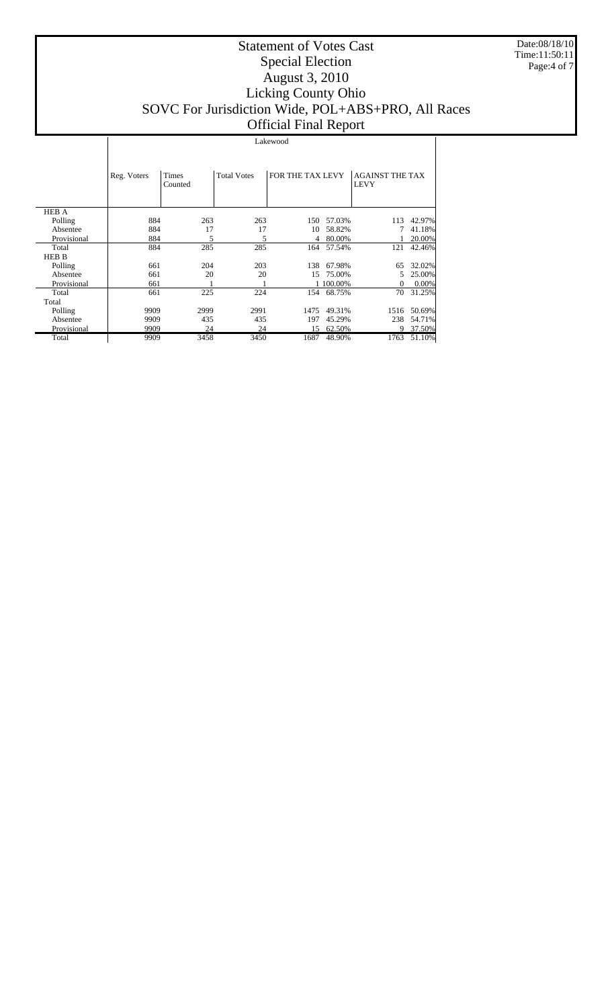|              | Lakewood    |                  |                    |                  |           |                                       |        |
|--------------|-------------|------------------|--------------------|------------------|-----------|---------------------------------------|--------|
|              | Reg. Voters | Times<br>Counted | <b>Total Votes</b> | FOR THE TAX LEVY |           | <b>AGAINST THE TAX</b><br><b>LEVY</b> |        |
| <b>HEB A</b> |             |                  |                    |                  |           |                                       |        |
| Polling      | 884         | 263              | 263                | 150              | 57.03%    | 113                                   | 42.97% |
| Absentee     | 884         | 17               | 17                 | 10               | 58.82%    |                                       | 41.18% |
| Provisional  | 884         | 5                | 5                  | 4                | 80.00%    |                                       | 20.00% |
| Total        | 884         | 285              | 285                | 164              | 57.54%    | 121                                   | 42.46% |
| <b>HEB B</b> |             |                  |                    |                  |           |                                       |        |
| Polling      | 661         | 204              | 203                | 138              | 67.98%    | 65                                    | 32.02% |
| Absentee     | 661         | 20               | 20                 | 15               | 75.00%    | 5                                     | 25.00% |
| Provisional  | 661         |                  |                    |                  | 1 100.00% | $\Omega$                              | 0.00%  |
| Total        | 661         | 225              | 224                | 154              | 68.75%    | 70                                    | 31.25% |
| Total        |             |                  |                    |                  |           |                                       |        |
| Polling      | 9909        | 2999             | 2991               | 1475             | 49.31%    | 1516                                  | 50.69% |
| Absentee     | 9909        | 435              | 435                | 197              | 45.29%    | 238                                   | 54.71% |
| Provisional  | 9909        | 24               | 24                 | 15               | 62.50%    | 9.                                    | 37.50% |
| Total        | 9909        | 3458             | 3450               | 1687             | 48.90%    | 1763                                  | 51.10% |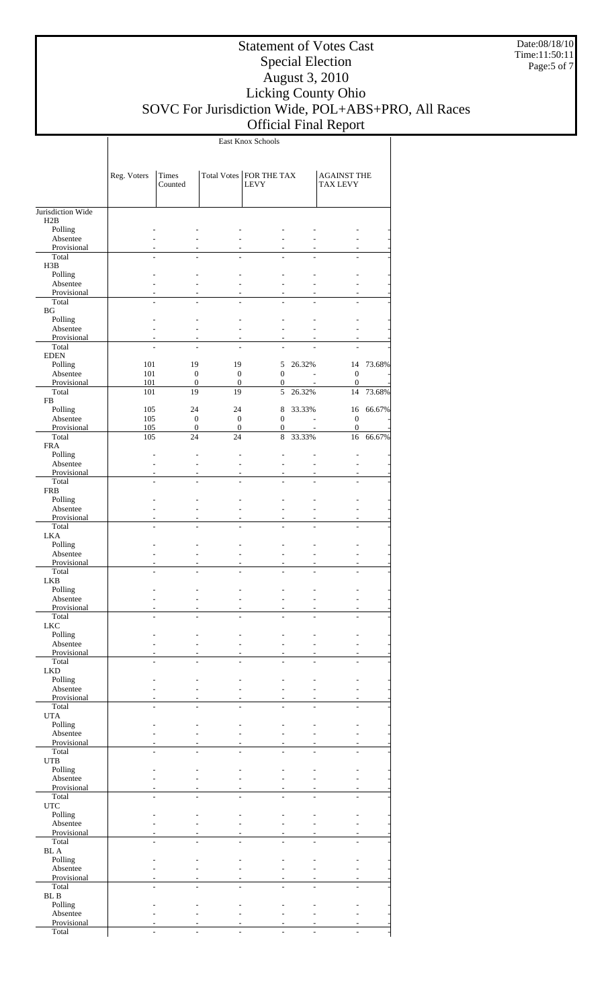Date:08/18/10 Time:11:50:11 Page:5 of 7

East Knox Schools

 $\overline{\phantom{a}}$ 

|                          | Reg. Voters | Times                        |                              | Total Votes   FOR THE TAX        |        | <b>AGAINST THE</b>               |        |
|--------------------------|-------------|------------------------------|------------------------------|----------------------------------|--------|----------------------------------|--------|
|                          |             | Counted                      |                              | <b>LEVY</b>                      |        | <b>TAX LEVY</b>                  |        |
|                          |             |                              |                              |                                  |        |                                  |        |
| Jurisdiction Wide<br>H2B |             |                              |                              |                                  |        |                                  |        |
| Polling                  |             |                              |                              |                                  |        |                                  |        |
| Absentee                 |             |                              |                              |                                  |        |                                  |        |
| Provisional<br>Total     |             |                              |                              |                                  |        |                                  |        |
| H3B                      |             |                              |                              |                                  |        |                                  |        |
| Polling                  |             |                              |                              |                                  |        |                                  |        |
| Absentee                 |             |                              |                              |                                  |        |                                  |        |
| Provisional<br>Total     |             |                              |                              |                                  |        |                                  |        |
| BG                       |             |                              |                              |                                  |        |                                  |        |
| Polling                  |             |                              |                              |                                  |        |                                  |        |
| Absentee<br>Provisional  |             |                              |                              |                                  |        |                                  |        |
| Total                    |             |                              |                              |                                  |        |                                  |        |
| <b>EDEN</b>              |             |                              |                              |                                  |        |                                  |        |
| Polling                  | 101         | 19                           | 19                           | 5                                | 26.32% | 14                               | 73.68% |
| Absentee<br>Provisional  | 101<br>101  | $\mathbf{0}$<br>$\mathbf{0}$ | $\mathbf{0}$<br>$\mathbf{0}$ | $\mathbf{0}$<br>$\mathbf{0}$     |        | $\mathbf{0}$<br>$\mathbf{0}$     |        |
| Total                    | 101         | 19                           | 19                           | 5                                | 26.32% | 14                               | 73.68% |
| FB                       |             |                              |                              |                                  |        |                                  |        |
| Polling                  | 105         | 24                           | 24                           | 8                                | 33.33% | 16                               | 66.67% |
| Absentee<br>Provisional  | 105<br>105  | $\mathbf{0}$<br>$\mathbf{0}$ | $\mathbf{0}$<br>$\theta$     | $\mathbf{0}$<br>$\boldsymbol{0}$ |        | $\mathbf{0}$<br>$\boldsymbol{0}$ |        |
| Total                    | 105         | 24                           | 24                           | 8                                | 33.33% | 16                               | 66.67% |
| <b>FRA</b>               |             |                              |                              |                                  |        |                                  |        |
| Polling<br>Absentee      |             |                              |                              |                                  |        | ÷.                               |        |
| Provisional              |             |                              |                              |                                  |        |                                  |        |
| Total                    |             |                              |                              |                                  |        |                                  |        |
| <b>FRB</b>               |             |                              |                              |                                  |        |                                  |        |
| Polling<br>Absentee      |             |                              |                              |                                  |        |                                  |        |
| Provisional              |             |                              |                              |                                  |        |                                  |        |
| Total                    |             |                              |                              |                                  |        |                                  |        |
| <b>LKA</b><br>Polling    |             |                              |                              |                                  |        |                                  |        |
| Absentee                 |             |                              | $\overline{a}$               |                                  |        |                                  |        |
| Provisional              |             |                              |                              |                                  |        |                                  |        |
| Total                    |             |                              |                              |                                  |        |                                  |        |
| <b>LKB</b><br>Polling    |             |                              |                              |                                  |        |                                  |        |
| Absentee                 |             |                              |                              |                                  |        |                                  |        |
| Provisional              |             |                              |                              |                                  |        |                                  |        |
| Total<br>${\rm LKC}$     |             |                              |                              |                                  |        |                                  |        |
| Polling                  |             |                              |                              |                                  |        |                                  |        |
| Absentee                 |             |                              |                              |                                  |        |                                  |        |
| Provisional              |             |                              |                              |                                  |        |                                  |        |
| Total<br><b>LKD</b>      |             |                              |                              |                                  |        |                                  |        |
| Polling                  |             |                              |                              |                                  |        |                                  |        |
| Absentee                 |             |                              |                              |                                  |        |                                  |        |
| Provisional<br>Total     |             |                              |                              |                                  |        |                                  |        |
| <b>UTA</b>               |             |                              |                              |                                  |        |                                  |        |
| Polling                  |             |                              |                              |                                  |        |                                  |        |
| Absentee                 |             |                              |                              |                                  |        |                                  |        |
| Provisional<br>Total     |             |                              |                              |                                  |        |                                  |        |
| <b>UTB</b>               |             |                              |                              |                                  |        |                                  |        |
| Polling                  |             |                              |                              |                                  |        |                                  |        |
| Absentee<br>Provisional  |             |                              |                              |                                  |        |                                  |        |
| Total                    |             |                              |                              |                                  |        |                                  |        |
| $_{\rm UTC}$             |             |                              |                              |                                  |        |                                  |        |
| Polling                  |             |                              |                              |                                  |        |                                  |        |
| Absentee<br>Provisional  |             |                              |                              |                                  |        |                                  |        |
| Total                    |             |                              |                              |                                  |        |                                  |        |
| $\rm BL~A$               |             |                              |                              |                                  |        |                                  |        |
| Polling<br>Absentee      |             |                              |                              |                                  |        |                                  |        |
| Provisional              |             |                              |                              |                                  |        |                                  |        |
| Total                    |             |                              |                              |                                  |        |                                  |        |
| ${\bf BL}$ B             |             |                              |                              |                                  |        |                                  |        |
| Polling<br>Absentee      |             |                              |                              |                                  |        |                                  |        |
| Provisional              |             |                              |                              |                                  |        |                                  |        |
| Total                    |             |                              |                              |                                  |        |                                  |        |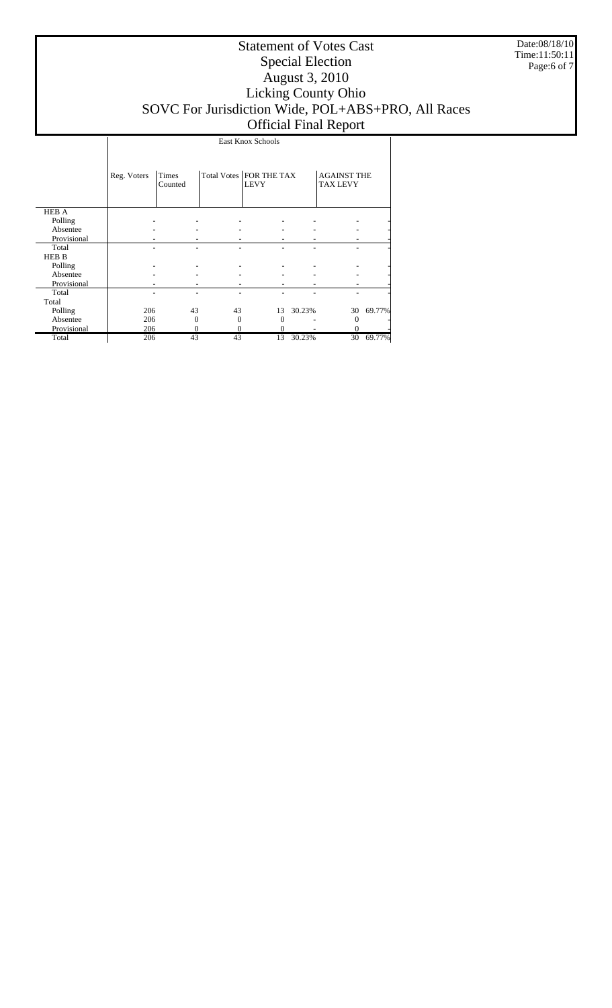Date:08/18/10 Time:11:50:11 Page:6 of 7

|              | East Knox Schools |                  |    |                                          |        |                                       |                |  |
|--------------|-------------------|------------------|----|------------------------------------------|--------|---------------------------------------|----------------|--|
|              | Reg. Voters       | Times<br>Counted |    | Total Votes   FOR THE TAX<br><b>LEVY</b> |        | <b>AGAINST THE</b><br><b>TAX LEVY</b> |                |  |
| <b>HEB A</b> |                   |                  |    |                                          |        |                                       |                |  |
| Polling      |                   |                  |    |                                          |        |                                       |                |  |
| Absentee     |                   |                  |    |                                          |        |                                       | -              |  |
| Provisional  |                   |                  |    |                                          |        |                                       |                |  |
| Total        |                   |                  |    |                                          |        |                                       | $\overline{a}$ |  |
| HEB B        |                   |                  |    |                                          |        |                                       |                |  |
| Polling      |                   |                  |    |                                          |        |                                       |                |  |
| Absentee     |                   |                  |    |                                          |        |                                       | -              |  |
| Provisional  |                   |                  |    |                                          |        |                                       |                |  |
| Total        |                   |                  |    |                                          |        |                                       |                |  |
| Total        |                   |                  |    |                                          |        |                                       |                |  |
| Polling      | 206               | 43               | 43 | 13                                       | 30.23% | 30                                    | 69.77%         |  |
| Absentee     | 206               | $\Omega$         | 0  | $\Omega$                                 |        | $\Omega$                              |                |  |
| Provisional  | 206               | $\mathbf{0}$     | 0  | 0                                        |        | 0                                     |                |  |
| Total        | 206               | 43               | 43 | 13                                       | 30.23% | 30                                    | 69.77%         |  |